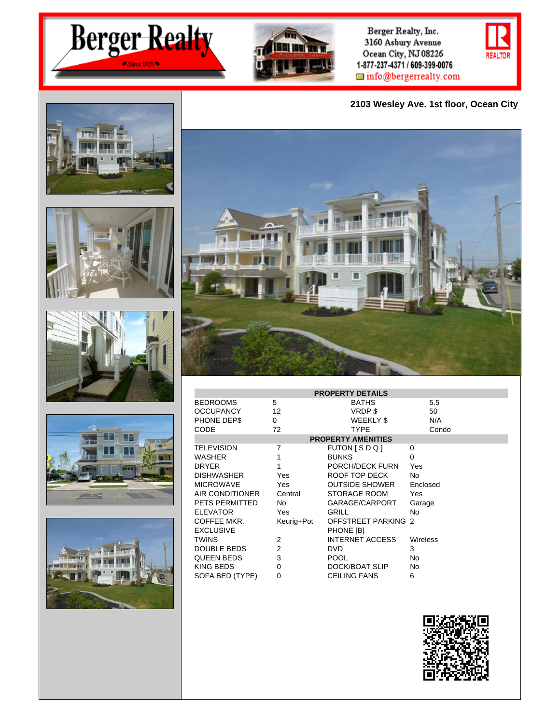



Berger Realty, Inc. 3160 Asbury Avenue Ocean City, NJ 08226 1-877-237-4371 / 609-399-0076  $\boxplus$  info@bergerrealty.com

**2103 Wesley Ave. 1st floor, Ocean City**













| <b>PROPERTY DETAILS</b>   |                |                            |                 |  |  |
|---------------------------|----------------|----------------------------|-----------------|--|--|
| <b>BEDROOMS</b>           | 5              | <b>BATHS</b>               | 5.5             |  |  |
| <b>OCCUPANCY</b>          | 12             | VRDP\$                     | 50              |  |  |
| PHONE DEP\$               | 0              | <b>WEEKLY \$</b>           | N/A             |  |  |
| CODE                      | 72             | TYPE                       | Condo           |  |  |
| <b>PROPERTY AMENITIES</b> |                |                            |                 |  |  |
| <b>TELEVISION</b>         | 7              | $FUTON$ $S$ $D$ $Q$ $I$    | 0               |  |  |
| WASHER                    | 1              | <b>BUNKS</b>               | $\Omega$        |  |  |
| <b>DRYER</b>              | 1              | PORCH/DECK FURN            | Yes             |  |  |
| <b>DISHWASHER</b>         | Yes            | ROOF TOP DECK              | No              |  |  |
| <b>MICROWAVE</b>          | Yes            | OUTSIDE SHOWER             | Enclosed        |  |  |
| AIR CONDITIONER           | Central        | <b>STORAGE ROOM</b>        | <b>Yes</b>      |  |  |
| PETS PERMITTED            | No.            | GARAGE/CARPORT             | Garage          |  |  |
| <b>ELEVATOR</b>           | Yes            | GRILL                      | <b>No</b>       |  |  |
| COFFEE MKR.               | Keurig+Pot     | <b>OFFSTREET PARKING 2</b> |                 |  |  |
| <b>EXCLUSIVE</b>          |                | PHONE [B]                  |                 |  |  |
| <b>TWINS</b>              | 2              | <b>INTERNET ACCESS</b>     | <b>Wireless</b> |  |  |
| DOUBLE BEDS               | $\overline{2}$ | <b>DVD</b>                 | 3               |  |  |
| QUEEN BEDS                | 3              | <b>POOL</b>                | No              |  |  |
| KING BEDS                 | 0              | DOCK/BOAT SLIP             | No              |  |  |
| SOFA BED (TYPE)           | 0              | <b>CEILING FANS</b>        | 6               |  |  |